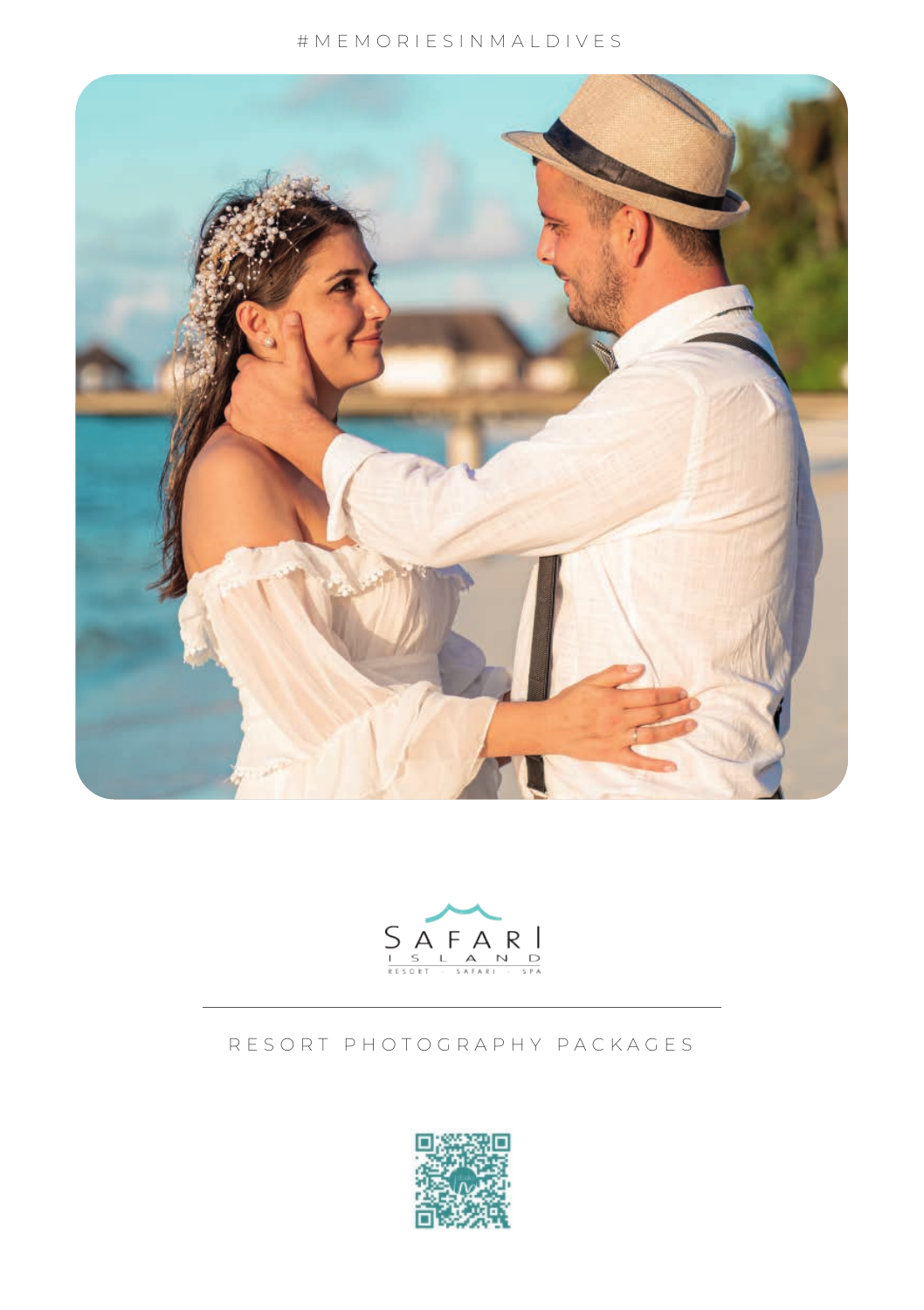



## RESORT PHOTOGRAPHY PACKAGES

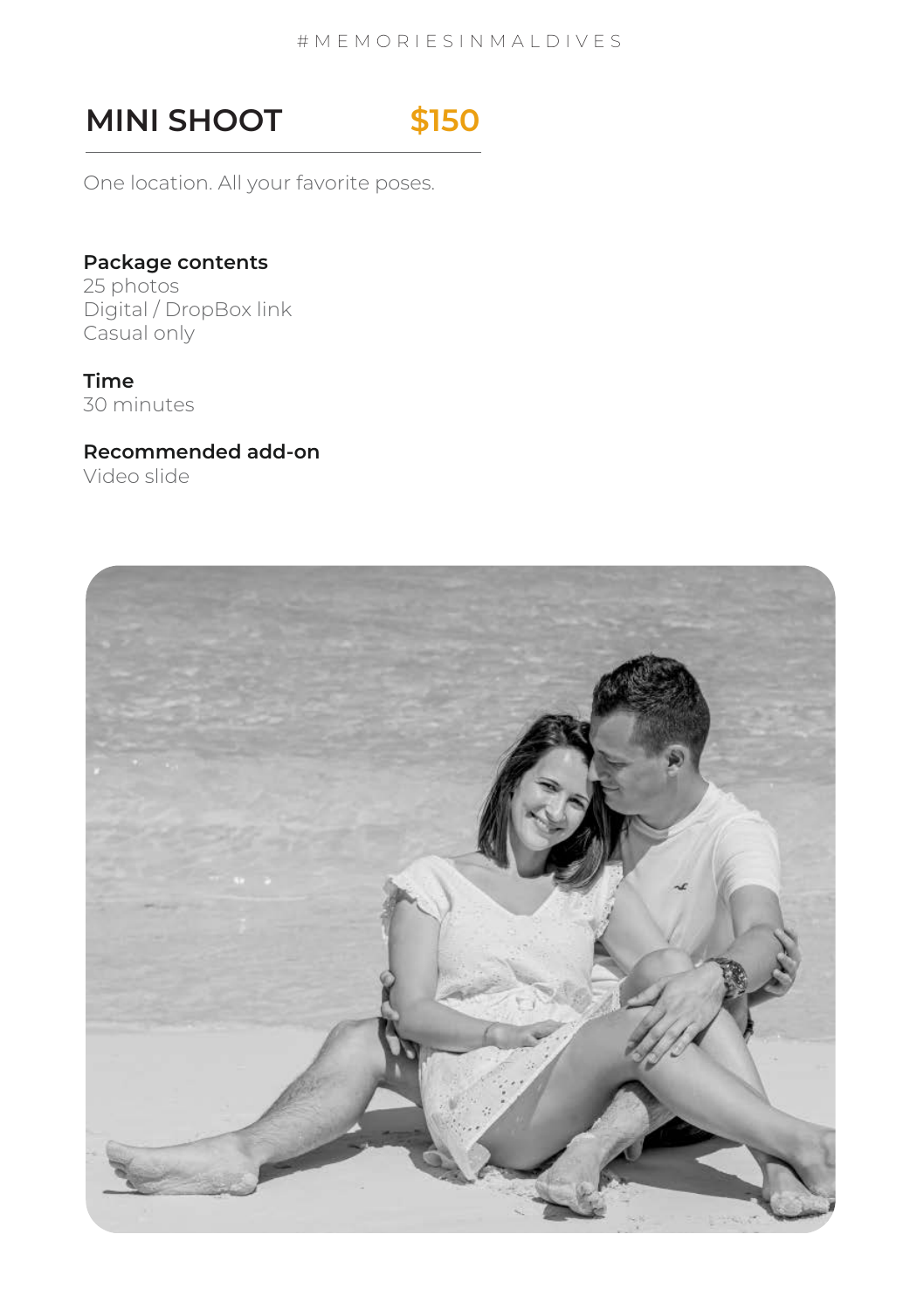# **MINI SHOOT \$150**

One location. All your favorite poses.

# **Package contents**

25 photos Digital / DropBox link Casual only

### **Time**

30 minutes

## **Recommended add-on**

Video slide

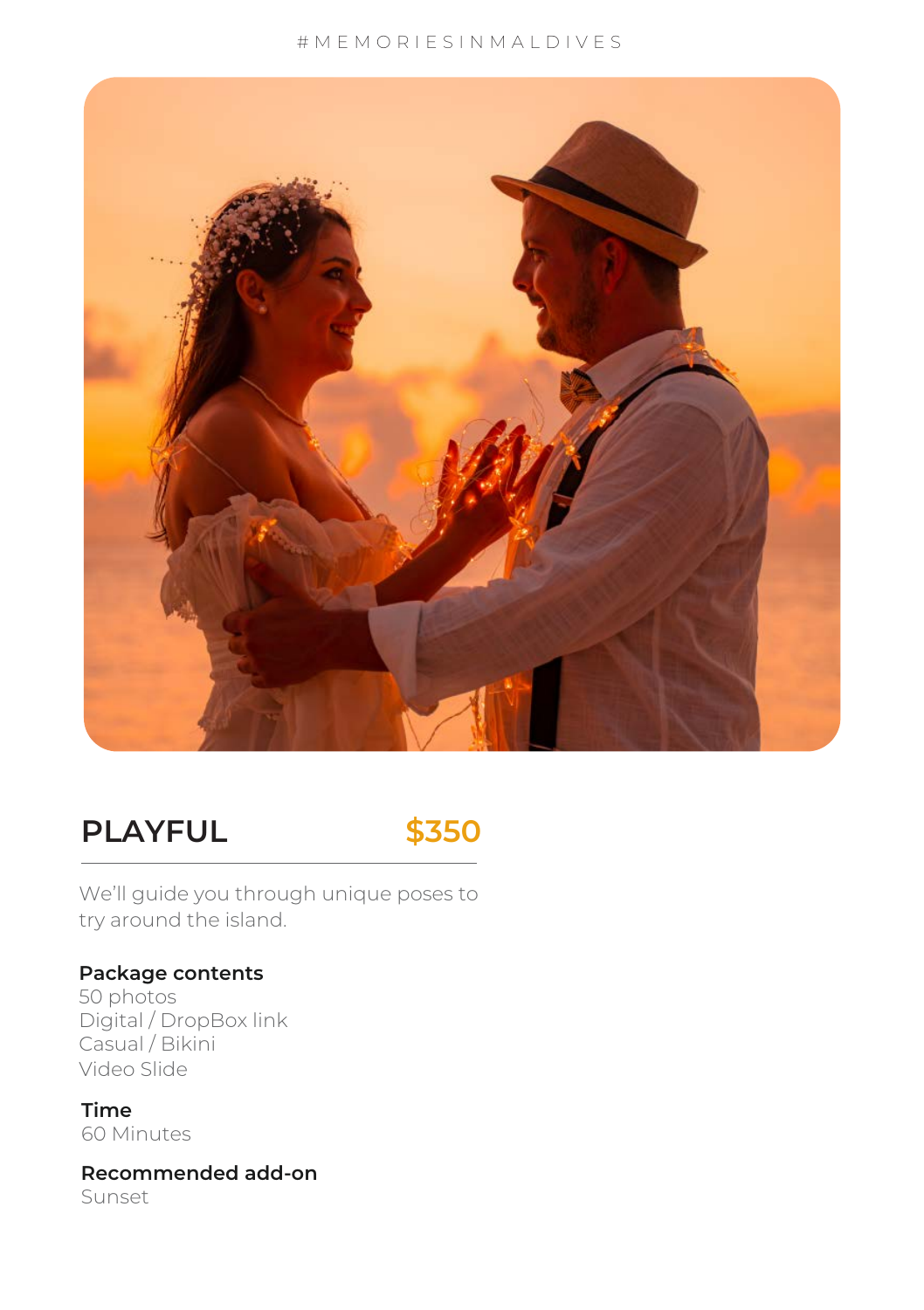

# **PLAYFUL \$350**



We'll guide you through unique poses to try around the island.

## **Package contents**

50 photos Digital / DropBox link Casual / Bikini Video Slide

**Time** 60 Minutes

**Recommended add-on** Sunset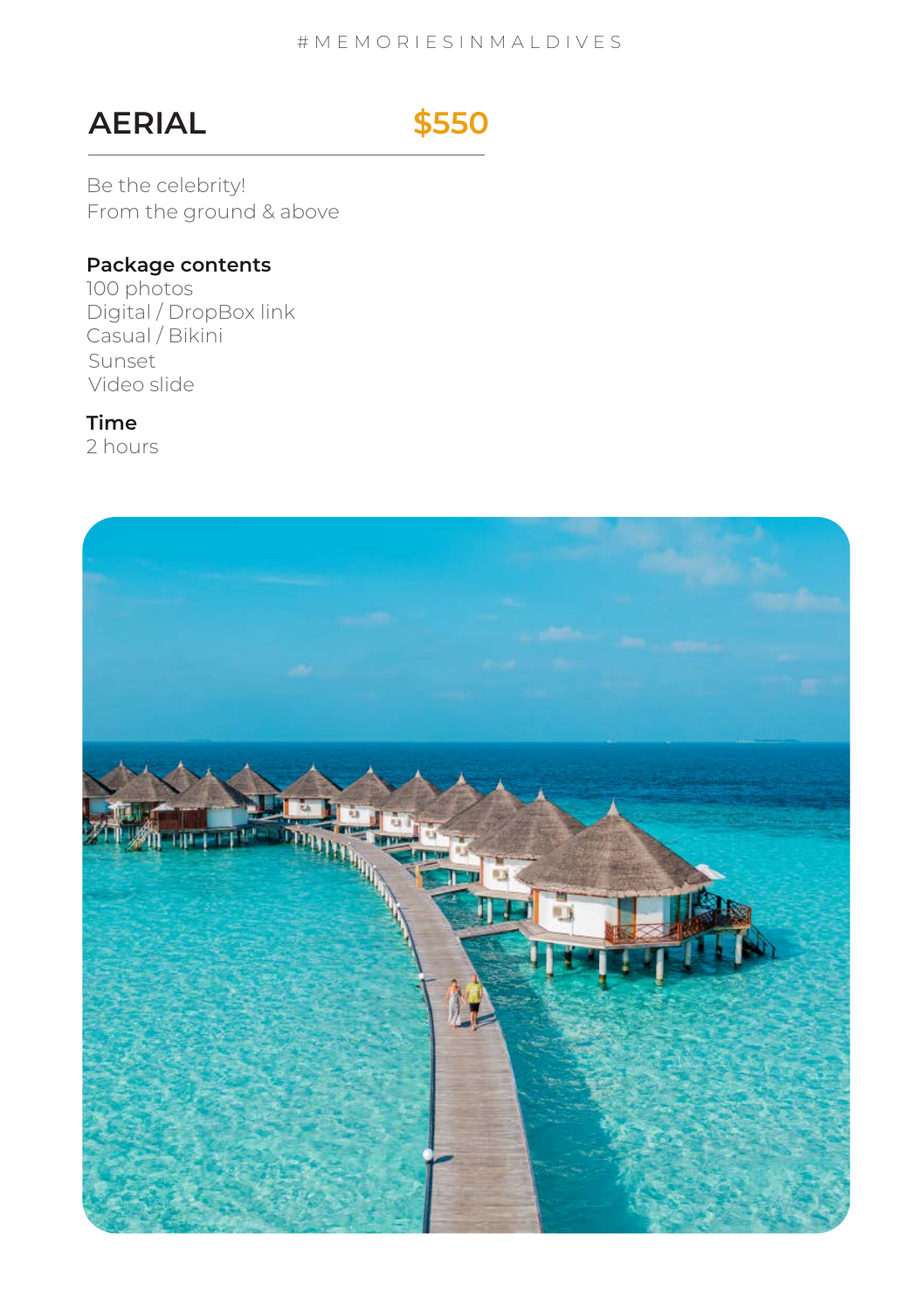# **AERIAL \$550**

Be the celebrity! From the ground & above

### **Package contents**

100 photos Digital / DropBox link Casual / Bikini Sunset Video slide

## **Time**

2 hours

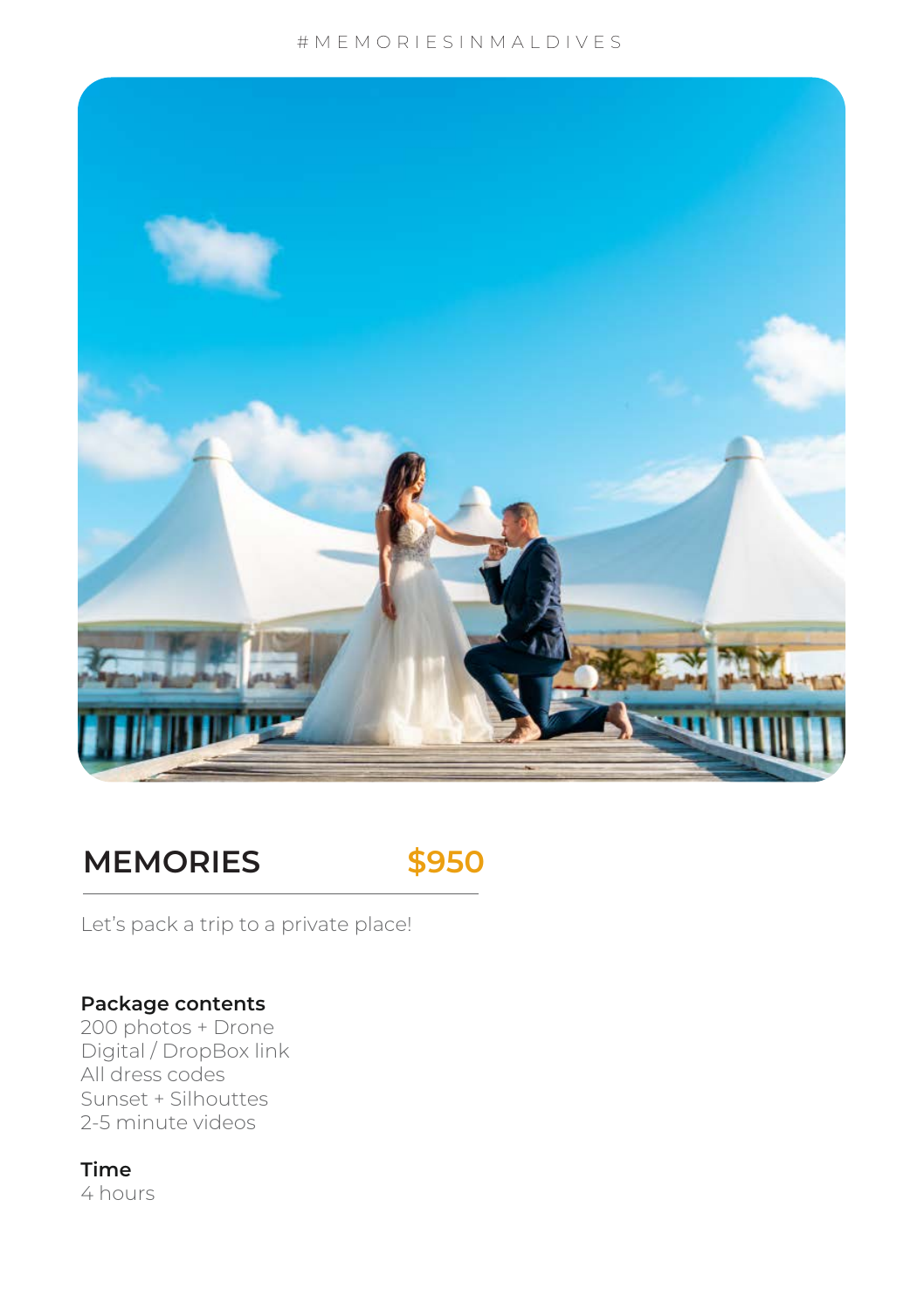

# **MEMORIES \$950**



Let's pack a trip to a private place!

## **Package contents**

2-5 minute videos 200 photos + Drone Digital / DropBox link All dress codes Sunset + Silhouttes

## **Time**

4 hours